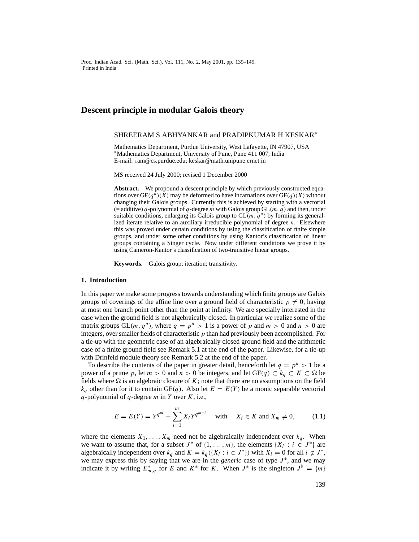Proc. Indian Acad. Sci. (Math. Sci.), Vol. 111, No. 2, May 2001, pp. 139–149. Printed in India

# **Descent principle in modular Galois theory**

# SHREERAM S ABHYANKAR and PRADIPKUMAR H KESKAR<sup>∗</sup>

Mathematics Department, Purdue University, West Lafayette, IN 47907, USA <sup>∗</sup>Mathematics Department, University of Pune, Pune 411 007, India E-mail: ram@cs.purdue.edu; keskar@math.unipune.ernet.in

MS received 24 July 2000; revised 1 December 2000

**Abstract.** We propound a descent principle by which previously constructed equations over  $GF(q^n)(\overline{X})$  may be deformed to have incarnations over  $GF(q)(X)$  without changing their Galois groups. Currently this is achieved by starting with a vectorial (= additive) q-polynomial of q-degree m with Galois group  $GL(m, q)$  and then, under suitable conditions, enlarging its Galois group to  $GL(m, q^n)$  by forming its generalized iterate relative to an auxiliary irreducible polynomial of degree  $n$ . Elsewhere this was proved under certain conditions by using the classification of finite simple groups, and under some other conditions by using Kantor's classification of linear groups containing a Singer cycle. Now under different conditions we prove it by using Cameron-Kantor's classification of two-transitive linear groups.

**Keywords.** Galois group; iteration; transitivity.

#### **1. Introduction**

In this paper we make some progress towards understanding which finite groups are Galois groups of coverings of the affine line over a ground field of characteristic  $p \neq 0$ , having at most one branch point other than the point at infinity. We are specially interested in the case when the ground field is not algebraically closed. In particular we realize some of the matrix groups GL(m, q<sup>n</sup>), where  $q = p^u > 1$  is a power of p and  $m > 0$  and  $n > 0$  are integers, over smaller fields of characteristic  $p$  than had previously been accomplished. For a tie-up with the geometric case of an algebraically closed ground field and the arithmetic case of a finite ground field see Remark 5.1 at the end of the paper. Likewise, for a tie-up with Drinfeld module theory see Remark 5.2 at the end of the paper.

To describe the contents of the paper in greater detail, henceforth let  $q = p^u > 1$  be a power of a prime p, let  $m > 0$  and  $n > 0$  be integers, and let  $GF(q) \subset k_q \subset K \subset \Omega$  be fields where  $\Omega$  is an algebraic closure of K; note that there are no assumptions on the field  $k_q$  other than for it to contain GF(q). Also let  $E = E(Y)$  be a monic separable vectorial q-polynomial of q-degree  $m$  in  $Y$  over  $K$ , i.e.,

$$
E = E(Y) = Y^{q^m} + \sum_{i=1}^{m} X_i Y^{q^{m-i}} \quad \text{with} \quad X_i \in K \text{ and } X_m \neq 0,
$$
 (1.1)

where the elements  $X_1, \ldots, X_m$  need not be algebraically independent over  $k_q$ . When we want to assume that, for a subset  $J^*$  of  $\{1,\ldots,m\}$ , the elements  $\{X_i : i \in J^*\}$  are algebraically independent over  $k_q$  and  $K = k_q (\{X_i : i \in J^*\})$  with  $X_i = 0$  for all  $i \notin J^*$ , we may express this by saying that we are in the *generic* case of type *J*<sup>∗</sup>, and we may indicate it by writing  $E_{m,q}^*$  for E and  $K^*$  for K. When  $J^*$  is the singleton  $J^{\flat} = \{m\}$ 

139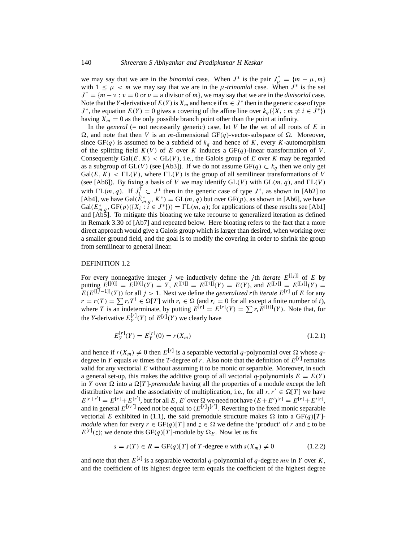we may say that we are in the *binomial* case. When  $J^*$  is the pair  $J^{\dagger}_{\mu} = \{m - \mu, m\}$ with  $1 \leq \mu < m$  we may say that we are in the  $\mu$ -trinomial case. When  $J^*$  is the set  $J^{\ddagger} = \{m - \nu : \nu = 0 \text{ or } \nu = \text{a divisor of } m\}$ , we may say that we are in the *divisorial* case. Note that the Y-derivative of  $E(Y)$  is  $X_m$  and hence if  $m \in J^*$  then in the generic case of type  $J^*$ , the equation  $E(Y) = 0$  gives a covering of the affine line over  $k_q(\lbrace X_i : m \neq i \in J^* \rbrace)$ having  $X_m = 0$  as the only possible branch point other than the point at infinity.

In the *general* (= not necessarily generic) case, let  $V$  be the set of all roots of  $E$  in  $\Omega$ , and note that then V is an m-dimensional GF(q)-vector-subspace of  $\Omega$ . Moreover, since GF(q) is assumed to be a subfield of  $k_q$  and hence of K, every K-automorphism of the splitting field  $K(V)$  of E over K induces a GF(q)-linear transformation of V. Consequently Gal $(E, K) <$  GL $(V)$ , i.e., the Galois group of E over K may be regarded as a subgroup of GL(V) (see [Ab3]). If we do not assume GF(q)  $\subset k_q$  then we only get  $Gal(E, K) < \Gamma L(V)$ , where  $\Gamma L(V)$  is the group of all semilinear transformations of V (see [Ab6]). By fixing a basis of V we may identify  $GL(V)$  with  $GL(m, q)$ , and  $\Gamma L(V)$ with  $\Gamma\mathcal{L}(m, q)$ . If  $J_1^{\dagger} \subset J^*$  then in the generic case of type  $J^*$ , as shown in [Ab2] to [Ab4], we have Gal( $\dot{E}_{m,q}^*$ ,  $K^*$ ) = GL(*m*, *q*) but over GF(*p*), as shown in [Ab6], we have  $Gal(E_{m,q}^*, {\mathrm{GF}}(p)(\{X_i : i \in J^*\})) = \Gamma L(m,q);$  for applications of these results see [Ab1] and [Ab5]. To mitigate this bloating we take recourse to generalized iteration as defined in Remark 3.30 of [Ab7] and repeated below. Here bloating refers to the fact that a more direct approach would give a Galois group which is larger than desired, when working over a smaller ground field, and the goal is to modify the covering in order to shrink the group from semilinear to general linear.

### DEFINITION 1.2

For every nonnegative integer j we inductively define the jth *iterate*  $E^{[[j]]}$  of E by putting  $E^{[[0]]} = E^{[[0]]}(Y) = Y$ ,  $E^{[[1]]} = E^{[[1]]}(Y) = E(Y)$ , and  $E^{[[j]]} = E^{[[j]]}(Y) =$  $E(E^{[[j-1]]}(Y))$  for all  $j > 1$ . Next we define the *generalized* rth *iterate*  $E^{[r]}$  of E for any  $r = r(T) = \sum r_i T^i \in \Omega[T]$  with  $r_i \in \Omega$  (and  $r_i = 0$  for all except a finite number of i), where T is an indeterminate, by putting  $E^{[r]} = E^{[r]}(Y) = \sum r_i E^{[[i]]}(Y)$ . Note that, for the *Y*-derivative  $E_Y^{[r]}(Y)$  of  $E^{[r]}(Y)$  we clearly have

$$
E_Y^{[r]}(Y) = E_Y^{[r]}(0) = r(X_m)
$$
\n(1.2.1)

and hence if  $r(X_m) \neq 0$  then  $E^{[r]}$  is a separable vectorial q-polynomial over  $\Omega$  whose qdegree in Y equals m times the T-degree of r. Also note that the definition of  $E^{[r]}$  remains valid for any vectorial  $E$  without assuming it to be monic or separable. Moreover, in such a general set-up, this makes the additive group of all vectorial q-polynomials  $E = E(Y)$ in Y over  $\Omega$  into a  $\Omega[T]$ -*premodule* having all the properties of a module except the left distributive law and the associativity of multiplication, i.e., for all  $r, r' \in \Omega[T]$  we have  $E^{[r+r']} = E^{[r]} + E^{[r']}$ , but for all  $E, E'$  over  $\Omega$  we need not have  $(E + E')^{[r]} = E^{[r]} + E'^{[r]}$ , and in general  $E^{[rr^{\prime}]}$  need not be equal to  $(E^{[r]})^{[r^{\prime}]}$ . Reverting to the fixed monic separable vectorial E exhibited in (1.1), the said premodule structure makes  $\Omega$  into a GF(q)[T]*module* when for every  $r \in GF(q)[T]$  and  $z \in \Omega$  we define the 'product' of r and z to be  $E^{[r]}(z)$ ; we denote this GF(q)[T]-module by  $\Omega_E$ . Now let us fix

$$
s = s(T) \in R = \text{GF}(q)[T] \text{ of } T \text{-degree } n \text{ with } s(X_m) \neq 0 \tag{1.2.2}
$$

and note that then  $E^{[s]}$  is a separable vectorial q-polynomial of q-degree mn in Y over K, and the coefficient of its highest degree term equals the coefficient of the highest degree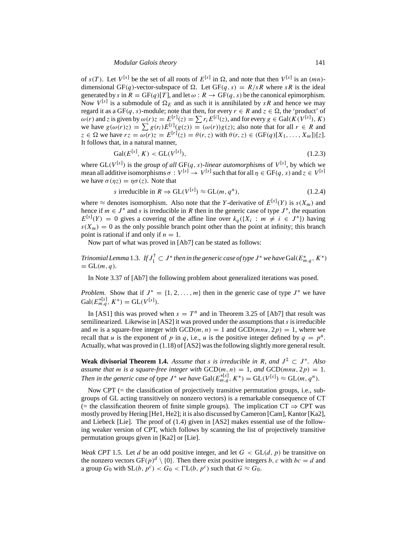of  $s(T)$ . Let  $V^{[s]}$  be the set of all roots of  $E^{[s]}$  in  $\Omega$ , and note that then  $V^{[s]}$  is an  $(mn)$ dimensional GF(q)-vector-subspace of  $\Omega$ . Let GF(q, s) =  $R/sR$  where sR is the ideal generated by s in  $R = GF(q)[T]$ , and let  $\omega : R \to GF(q, s)$  be the canonical epimorphism. Now  $V^{[s]}$  is a submodule of  $\Omega_E$  and as such it is annihilated by sR and hence we may regard it as a GF(q, s)-module; note that then, for every  $r \in R$  and  $z \in \Omega$ , the 'product' of  $\omega(r)$  and z is given by  $\omega(r)z = E^{[r]}(z) = \sum r_i E^{[i]}(z)$ , and for every  $g \in \text{Gal}(K(V^{[s]}), K)$ we have  $g(\omega(r)z) = \sum g(r_i) E^{[i]}(g(z)) = (\omega(r))g(z)$ ; also note that for all  $r \in R$  and  $z \in \Omega$  we have  $rz = \omega(r)z = E^{[r]}(z) = \theta(r, z)$  with  $\theta(r, z) \in (\text{GF}(q)[X_1, \dots, X_m])[z]$ . It follows that, in a natural manner,

$$
Gal(E^{[s]}, K) < GL(V^{[s]}),\tag{1.2.3}
$$

where  $GL(V^{[s]})$  is the *group of all*  $GF(q, s)$ -*linear automorphisms* of  $V^{[s]}$ , by which we mean all additive isomorphisms  $\sigma: V^{[s]} \to V^{[s]}$  such that for all  $\eta \in \mathrm{GF}(q, s)$  and  $z \in V^{[s]}$ we have  $\sigma(\eta z) = \eta \sigma(z)$ . Note that

s irreducible in 
$$
R \Rightarrow GL(V^{[s]}) \approx GL(m, q^n)
$$
, 
$$
(1.2.4)
$$

where  $\approx$  denotes isomorphism. Also note that the Y-derivative of  $E^{[s]}(Y)$  is  $s(X_m)$  and hence if  $m \in J^*$  and s is irreducible in R then in the generic case of type  $J^*$ , the equation  $E^{[s]}(Y) = 0$  gives a covering of the affine line over  $k_q(\lbrace X_i : m \neq i \in J^* \rbrace)$  having  $s(X_m) = 0$  as the only possible branch point other than the point at infinity; this branch point is rational if and only if  $n = 1$ .

Now part of what was proved in [Ab7] can be stated as follows:

*Trinomial Lemma* 1.3. *If*  $J_1^\dagger \subset J^*$  *then in the generic case of type*  $J^*$  *we have*  $\text{Gal}(E^*_{m,q},K^*)$  $= GL(m, q).$ 

In Note 3.37 of [Ab7] the following problem about generalized iterations was posed.

*Problem.* Show that if  $J^* = \{1, 2, ..., m\}$  then in the generic case of type  $J^*$  we have  $Gal(E_{m,q}^{*[s]}, K^*) = GL(V^{[s]})$ .

In [AS1] this was proved when  $s = T<sup>n</sup>$  and in Theorem 3.25 of [Ab7] that result was semilinearized. Likewise in  $[AS2]$  it was proved under the assumptions that s is irreducible and m is a square-free integer with  $GCD(m, n) = 1$  and  $GCD(mnu, 2p) = 1$ , where we recall that u is the exponent of p in q, i.e., u is the positive integer defined by  $q = p^u$ . Actually, what was proved in (1.18) of [AS2] was the following slightly more general result.

**Weak divisorial Theorem 1.4.** Assume that s is irreducible in R, and  $J^{\ddagger} \subset J^*$ . Also *assume that m is a square-free integer with*  $GCD(m, n) = 1$ *, and*  $GCD(mnu, 2p) = 1$ *. Then in the generic case of type*  $J^*$  *we have*  $Gal(E_{m,q}^{*[s]}, K^*) = GL(V^{[s]}) \approx GL(m, q^n)$ *.* 

Now CPT ( $=$  the classification of projectively transitive permutation groups, i.e., subgroups of GL acting transitively on nonzero vectors) is a remarkable consequence of CT (= the classification theorem of finite simple groups). The implication  $CT \Rightarrow CPT$  was mostly proved by Hering [He1, He2]; it is also discussed by Cameron [Cam], Kantor [Ka2], and Liebeck [Lie]. The proof of (1.4) given in [AS2] makes essential use of the following weaker version of CPT, which follows by scanning the list of projectively transitive permutation groups given in [Ka2] or [Lie].

*Weak CPT* 1.5. Let d be an odd positive integer, and let  $G < GL(d, p)$  be transitive on the nonzero vectors GF(p)<sup>d</sup> \ {0}. Then there exist positive integers b, c with  $bc = d$  and a group  $G_0$  with  $SL(b, p^c) < G_0 < \Gamma L(b, p^c)$  such that  $G \approx G_0$ .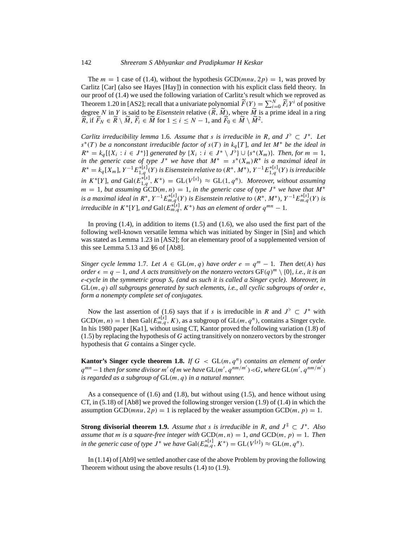The  $m = 1$  case of (1.4), without the hypothesis GCD(*mnu*, 2*p*) = 1, was proved by Carlitz [Car] (also see Hayes [Hay]) in connection with his explicit class field theory. In our proof of (1.4) we used the following variation of Carlitz's result which we reproved as Theorem 1.20 in [AS2]; recall that a univariate polynomial  $\widetilde{F}(Y) = \sum_{i=0}^{N} \widetilde{F}_i Y^i$  of positive degree N in Y is said to be *Eisenstein* relative  $(R, M)$ , where M is a prime ideal in a ring  $\approx 1.8$   $\approx 1.8$   $\approx 1.8$  $\widetilde{R}$ , if  $\widetilde{F}_N \in \widetilde{R} \setminus \widetilde{M}$ ,  $\widetilde{F}_i \in \widetilde{M}$  for  $1 \le i \le N - 1$ , and  $\widetilde{F}_0 \in \widetilde{M} \setminus \widetilde{M}^2$ .

*Carlitz irreducibility lemma* 1.6. *Assume that s is irreducible in* R, and  $J^{\circ} \subset J^*$ . Let s∗(T ) *be a nonconstant irreducible factor of* s(T ) *in* kq [T ]*, and let* M<sup>∗</sup> *be the ideal in*  $R^* = k_q [\{X_i : i \in J^*\}]$  *generated by*  $\{X_i : i \in J^* \setminus J^{\bar{\mathfrak{h}}} \cup \{s^*(X_m)\}\)$ *. Then, for*  $m = 1$ *, in the generic case of type*  $J^*$  *we have that*  $M^* = s^*(X_m)R^*$  *is a maximal ideal in*  $R^* = k_q[X_m]$ ,  $Y^{-1}E_{1,q}^{*[s]}(Y)$  *is Eisenstein relative to*  $(R^*, M^*)$ ,  $Y^{-1}E_{1,q}^{*[s]}(Y)$  *is irreducible in*  $K^*[Y]$ , and  $Gal(E_{1,q}^{*[s]}, K^*) = GL(V^{[s]}) \approx GL(1,q^n)$ . Moreover, without assuming  $m = 1$ , but assuming  $\text{GCD}(m, n) = 1$ , in the generic case of type  $J^*$  we have that  $M^*$ *is a maximal ideal in*  $R^*$ ,  $Y^{-1}E_{m,q}^{*[s]}(Y)$  *is Eisenstein relative to*  $(R^*, M^*)$ ,  $Y^{-1}E_{m,q}^{*[s]}(Y)$  *is irreducible in*  $K^*[Y]$ , and  $Gal(E_{m,q}^{*[s]}, K^*)$  has an element of order  $q^{mn} - 1$ .

In proving  $(1.4)$ , in addition to items  $(1.5)$  and  $(1.6)$ , we also used the first part of the following well-known versatile lemma which was initiated by Singer in [Sin] and which was stated as Lemma 1.23 in [AS2]; for an elementary proof of a supplemented version of this see Lemma 5.13 and §6 of [Ab8].

*Singer cycle lemma* 1.7. *Let*  $A \in GL(m, q)$  *have order*  $e = q^m - 1$ *. Then* det(A) *has order*  $\epsilon = q - 1$ *, and A acts transitively on the nonzero vectors*  $GF(q)^m \setminus \{0\}$ *, i.e., it is an* e*-cycle in the symmetric group* Se *(and as such it is called a Singer cycle). Moreover, in* GL(m, q) *all subgroups generated by such elements, i.e., all cyclic subgroups of order* e*, form a nonempty complete set of conjugates.*

Now the last assertion of (1.6) says that if s is irreducible in R and  $J^{\flat} \subset J^*$  with  $GCD(m, n) = 1$  then  $Gal(E_{m,q}^{*[s]}, K)$ , as a subgroup of  $GL(m, q^n)$ , contains a Singer cycle. In his 1980 paper [Ka1], without using CT, Kantor proved the following variation (1.8) of  $(1.5)$  by replacing the hypothesis of G acting transitively on nonzero vectors by the stronger hypothesis that G contains a Singer cycle.

**Kantor's Singer cycle theorem 1.8.** *If*  $G < GL(m, q^n)$  *contains an element of order*  $q^{mn}-1$  then for some divisor m' of m we have  $\text{GL}(m', q^{nm/m'})$  < G, where  $\text{GL}(m', q^{nm/m'})$ *is regarded as a subgroup of* GL(m, q) *in a natural manner.*

As a consequence of (1.6) and (1.8), but without using (1.5), and hence without using CT, in  $(5.18)$  of [Ab8] we proved the following stronger version  $(1.9)$  of  $(1.4)$  in which the assumption GCD(*mnu*,  $2p$ ) = 1 is replaced by the weaker assumption GCD(*m*, *p*) = 1.

**Strong divisorial theorem 1.9.** Assume that s is irreducible in R, and  $J^{\ddagger} \subset J^*$ . Also *assume that m is a square-free integer with*  $GCD(m, n) = 1$ *, and*  $GCD(m, p) = 1$ *. Then in the generic case of type*  $J^*$  *we have*  $Gal(E_{m,q}^{*[s]}, K^*) = GL(V^{[s]}) \approx GL(m, q^n)$ .

In (1.14) of [Ab9] we settled another case of the above Problem by proving the following Theorem without using the above results (1.4) to (1.9).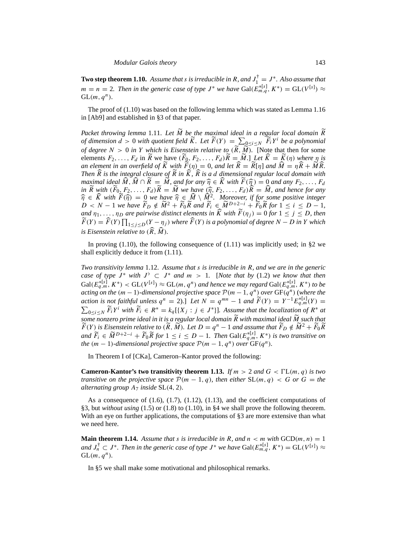**Two step theorem 1.10.** Assume that *s* is irreducible in R, and  $J_1^{\dagger} = J^*$ . Also assume that  $m = n = 2$ . Then in the generic case of type  $J^*$  we have  $Gal(\tilde{E}_{m,q}^{*[s]}, K^*) = GL(V^{[s]}) \approx$  $GL(m, q^n)$ .

The proof of (1.10) was based on the following lemma which was stated as Lemma 1.16 in [Ab9] and established in §3 of that paper.

*Packet throwing lemma* 1.11. Let *M* be the maximal ideal in a regular local domain R *of dimension d* > 0 *with quotient field*  $\widetilde{K}$ *. Let*  $\widetilde{F}(Y) = \sum_{Q \leq i \leq N} \widetilde{F}_i Y^i$  *be a polynomial of degree*  $N > 0$  *in* Y *which is Eisenstein relative to*  $(\widetilde{R}, \widetilde{M})$ . [Note that then for some elements  $F_2, \ldots, F_d$  in R we have  $(F_0, F_2, \ldots, F_d)R = M$ . Let  $\widehat{K} = K(\eta)$  where  $\eta$  is *an element in an overfield of*  $\tilde{K}$  *with*  $\tilde{F}(\eta) = 0$ *, and let*  $\tilde{R} = R[\eta]$  *and*  $\tilde{M} = \eta \tilde{R} + \tilde{M} \tilde{R}$ . *Then*  $\hat{R}$  is the integral closure of  $\hat{R}$  in  $\hat{K}$ ,  $\hat{R}$  is a d dimensional regular local domain with *maximal ideal*  $\widehat{M}$ ,  $\widehat{M} \cap \widetilde{R} = \widetilde{M}$ , and for any  $\widehat{\eta} \in \widehat{K}$  with  $\widetilde{F}(\widehat{\eta}) = 0$  and any  $F_2, \ldots, F_d$ *e maximal ideal*  $\tilde{M}$ ,  $\tilde{M} \cap R = M$ , and for any  $\hat{\eta} \in \tilde{K}$  *with*  $F(\hat{\eta}) = 0$  and any  $F_2, \ldots, F_d$  in  $\tilde{K}$  with  $(\tilde{F}_0, F_2, \ldots, F_d) \tilde{K} = \tilde{M}$  *we have*  $(\hat{\eta}, F_2, \ldots, F_d) \tilde{K} = \hat{M}$ , and hence for  $\widehat{n} \in \widehat{K}$  *with*  $\widetilde{F}(\widehat{\eta}) = 0$  *we have*  $\widehat{\eta} \in \widehat{M} \setminus \widehat{M}^2$ *. Moreover, if for some positive integer*  $D < N - 1$  *we have*  $\widetilde{F}_D \notin \widetilde{M}^2 + \widetilde{F}_0 \widetilde{K}$  *and*  $\widetilde{F}_i \in \widetilde{M}^{D+2-i} + \widetilde{F}_0 \widet$ *and*  $\eta_1, \ldots, \eta_D$  *are pairwise distinct elements in*  $\widehat{K}$  *with*  $\widehat{F}(\eta_j) = 0$  *for*  $1 \leq j \leq D$ *, then*  $\widetilde{F}(Y) = \widehat{F}(Y) \prod_{1 \leq j \leq D} (Y - \eta_j)$  where  $\widehat{F}(Y)$  is a polynomial of degree  $N - D$  in Y which *is Eisenstein relative to*  $(\widehat{R}, \widehat{M})$ *.* 

In proving (1.10), the following consequence of  $(1.11)$  was implicitly used; in §2 we shall explicitly deduce it from (1.11).

*Two transitivity lemma* 1.12. *Assume that* s *is irreducible in* R*, and we are in the generic case of type*  $J^*$  *with*  $J^{\flat} \subset J^*$  *and*  $m > 1$ . [Note that by (1.2) we know that then  $Gal(E_{q,m}^{*[s]}, K^*)$  <  $GL(V^{[s]}) \approx GL(m, q^n)$  and hence we may regard  $Gal(E_{q,m}^{*[s]}, K^*)$  to be *acting on the*  $(m-1)$ -dimensional projective space  $\mathcal{P}(m-1, q^n)$  over  $GF(q^n)$  (where the *action is not faithful unless*  $q^n = 2$ ).] *Let*  $N = q^{mn} - 1$  *and*  $\widetilde{F}(Y) = Y^{-1} E_{q,m}^{*[s]}(Y) = \sum_{0 \le i \le N} \widetilde{F}_i Y^i$  with  $\widetilde{F}_i \in R^* = k_q [\{X_i : i \in J^* \}]$ . Assume that the localization of  $R^*$  at  $_{0\leq i\leq N}$   $\widetilde{F}_iY^i$  with  $\widetilde{F}_i\in R^*=k_q[\{X_j:j\in J^*\}]$ *. Assume that the localization of*  $R^*$  *at some nonzero prime ideal in it is a regular local domain R with maximal ideal M such that*<br> $\approx 2.5$  $\widetilde{F}(Y)$  is Eisenstein relative to  $(\widetilde{R}, \widetilde{M})$ . Let  $D = q^n - 1$  and assume that  $\widetilde{F}_D \notin \widetilde{M}^2 + \widetilde{F}_0 \widetilde{R}$  $\widetilde{F}_i$  ∈  $\widetilde{M}^{D+2-i}$  +  $\widetilde{F}_0\widetilde{R}$  for  $1 \leq i \leq D-1$ . Then  $\mathrm{Gal}(E_{q,m}^{*[s]}, K^*)$  *is two transitive on the*  $(m - 1)$ *-dimensional projective space*  $P(m - 1, q^n)$  *over*  $GF(q^n)$ *.* 

In Theorem I of [CKa], Cameron–Kantor proved the following:

**Cameron-Kantor's two transitivity theorem 1.13.** *If*  $m > 2$  *and*  $G < \Gamma L(m, q)$  *is two transitive on the projective space*  $P(m-1,q)$ *, then either*  $SL(m,q) < G$  *or*  $G = the$ *alternating group*  $A_7$  *inside* SL $(4, 2)$ *.* 

As a consequence of  $(1.6)$ ,  $(1.7)$ ,  $(1.12)$ ,  $(1.13)$ , and the coefficient computations of §3, but *without using* (1.5) or (1.8) to (1.10), in §4 we shall prove the following theorem. With an eye on further applications, the computations of §3 are more extensive than what we need here.

**Main theorem 1.14.** Assume that *s* is irreducible in R, and  $n < m$  with  $GCD(m, n) = 1$ and  $J_n^{\dagger} \subset J^*$ . Then in the generic case of type  $J^*$  we have  $\text{Gal}(E_{m,q}^{*[s]}, K^*) = \text{GL}(V^{[s]}) \approx$  $GL(m, q^n)$ .

In §5 we shall make some motivational and philosophical remarks.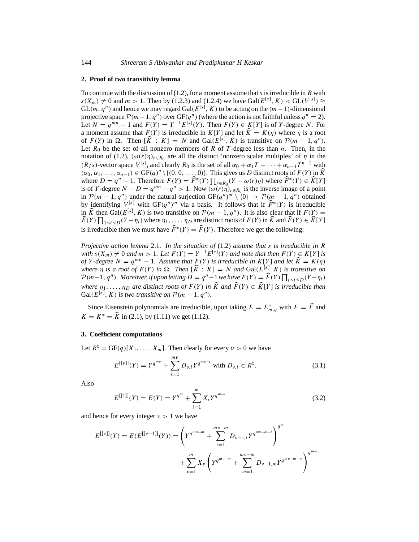### **2. Proof of two transitivity lemma**

To continue with the discussion of  $(1.2)$ , for a moment assume that s is irreducible in R with  $s(X_m) \neq 0$  and  $m > 1$ . Then by (1.2.3) and (1.2.4) we have  $Gal(E^{[s]}, K) < GL(V^{[s]}) \approx$  $GL(m, q^n)$  and hence we may regard  $Gal(E^{[s]}, K)$  to be acting on the  $(m-1)$ -dimensional projective space  $\mathcal{P}(m-1, q^n)$  over  $GF(q^n)$  (where the action is not faithful unless  $q^n = 2$ ). Let  $N = q^{mn} - 1$  and  $F(Y) = Y^{-1}E^{[\hat{s}]}(Y)$ . Then  $F(Y) \in K[Y]$  is of Y-degree N. For a moment assume that  $F(Y)$  is irreducible in  $K[Y]$  and let  $\widehat{K} = K(\eta)$  where  $\eta$  is a root of  $F(Y)$  in  $\Omega$ . Then  $[\widehat{K}: K] = N$  and  $Gal(E^{[s]}, K)$  is transitive on  $P(m-1, q^n)$ . Let  $R_0$  be the set of all nonzero members of R of T-degree less than n. Then, in the notation of (1.2),  $(\omega(r)\eta)_{r \in R_0}$  are all the distinct 'nonzero scalar multiples' of  $\eta$  in the  $(R/s)$ -vector space  $V^{[s]}$ , and clearly  $R_0$  is the set of all  $\alpha_0 + \alpha_1 T + \cdots + \alpha_{n-1} T^{n-1}$  with  $(\alpha_0, \alpha_1, \ldots, \alpha_{n-1}) \in \mathrm{GF}(q)^n \setminus \{ (0, 0, \ldots, 0) \}.$  This gives us D distinct roots of  $F(Y)$  in  $\widehat{K}$ where  $D = q^n - 1$ . Therefore  $F(Y) = \widehat{F}^*(Y) \prod_{r \in R_0} (Y - \omega(r)\eta)$  where  $\widehat{F}^*(Y) \in \widehat{K}[Y]$ is of Y-degree  $N - D = q^{mn} - q^n > 1$ . Now  $(\omega(r)\eta)_{r \in R_0}$  is the inverse image of a point in  $\mathcal{P}(m-1, q^n)$  under the natural surjection  $GF(q^n)^m \setminus \{0\} \rightarrow \mathcal{P}(m-1, q^n)$  obtained by identifying  $V^{[s]}$  with  $GF(q^n)^m$  via a basis. It follows that if  $\widehat{F}^*(Y)$  is irreducible in  $\widehat{K}$  then Gal( $E^{[s]}$ , K) is two transitive on  $\mathcal{P}(m-1, q^n)$ . It is also clear that if  $F(Y) = \widehat{K}(\widehat{K})$  $\widehat{F}(Y) \prod_{1 \leq i \leq D} (Y - \eta_i)$  where  $\eta_1, \ldots, \eta_D$  are distinct roots of  $F(Y)$  in  $\widehat{K}$  and  $\widehat{F}(Y) \in \widehat{K}[Y]$ is irreducible then we must have  $\widehat{F}^*(Y) = \widehat{F}(Y)$ . Therefore we get the following:

*Projective action lemma* 2.1. *In the situation of* (1.2) *assume that* s *is irreducible in* R *with*  $s(X_m) \neq 0$  *and*  $m > 1$ *. Let*  $F(Y) = Y^{-1}E^{[s]}(Y)$  *and note that then*  $F(Y) \in K[Y]$  *is of* Y *-degree*  $N = q^{mn} - 1$ *. Assume that*  $F(Y)$  *is irreducible in*  $K[Y]$  *and let*  $\widehat{K} = K(\eta)$ *where*  $\eta$  *is a root of*  $F(Y)$  *in*  $\Omega$ . Then  $[\widehat{K}:K] = N$  *and*  $Gal(E^{[s]}, K)$  *is transitive on*  $\mathcal{P}(m-1, q^n)$ . Moreover, if upon letting  $D = q^n - 1$  we have  $F(Y) = \widehat{F}(Y) \prod_{i \leq i \leq D} (Y - \eta_i)$ *where*  $\eta_1, \ldots, \eta_D$  *are distinct roots of*  $F(Y)$  *in*  $\hat{K}$  *and*  $\hat{F}(Y) \in \hat{K}[Y]$  *is irreducible then*  $Gal(E<sup>[s]</sup>, K)$  *is two transitive on*  $P(m-1, q<sup>n</sup>)$ *.* 

Since Eisenstein polynomials are irreducible, upon taking  $E = E^*_{m,q}$  with  $F = \widetilde{F}$  and  $K = K^* = \widetilde{K}$  in (2.1), by (1.11) we get (1.12).

# **3. Coefficient computations**

Let  $R^{\natural} = GF(q)[X_1,\ldots,X_m]$ . Then clearly for every  $\nu > 0$  we have

$$
E^{[[v]]}(Y) = Y^{q^{mv}} + \sum_{i=1}^{mv} D_{v,i} Y^{q^{mv-i}} \text{ with } D_{v,i} \in R^{\natural}.
$$
 (3.1)

Also

$$
E^{[[1]]}(Y) = E(Y) = Y^{q^m} + \sum_{i=1}^{m} X_i Y^{q^{m-i}}
$$
\n(3.2)

and hence for every integer  $\nu > 1$  we have

$$
E^{[\nu]}(Y) = E(E^{[\nu-1]}(Y)) = \left(Y^{q^{mv-m}} + \sum_{i=1}^{mv-m} D_{\nu-1,i} Y^{q^{mv-m-i}}\right)^{q^m} + \sum_{v=1}^m X_v \left(Y^{q^{mv-m}} + \sum_{w=1}^{mv-m} D_{\nu-1,w} Y^{q^{mv-m-w}}\right)^{q^{m-v}}
$$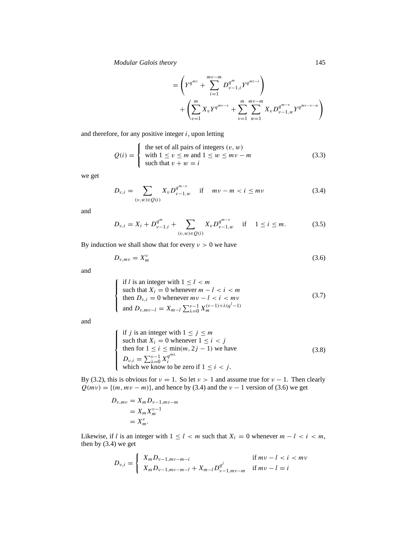*Modular Galois theory* 145

$$
= \left(Y^{q^{mv}} + \sum_{i=1}^{mv-m} D_{\nu-1,i}^{q^m} Y^{q^{mv-i}}\right) + \left(\sum_{v=1}^{m} X_v Y^{q^{mv-v}} + \sum_{v=1}^{m} \sum_{w=1}^{mv-m} X_v D_{\nu-1,w}^{q^{m-v}} Y^{q^{mv-v-w}}\right)
$$

and therefore, for any positive integer  $i$ , upon letting

$$
Q(i) = \begin{cases} \text{the set of all pairs of integers } (v, w) \\ \text{with } 1 \le v \le m \text{ and } 1 \le w \le mv - m \\ \text{such that } v + w = i \end{cases}
$$
(3.3)

we get

$$
D_{\nu,i} = \sum_{(\nu,w)\in Q(i)} X_{\nu} D_{\nu-1,w}^{q^{m-\nu}} \quad \text{if} \quad m\nu - m < i \leq m\nu \tag{3.4}
$$

and

$$
D_{\nu,i} = X_i + D_{\nu-1,i}^{q^m} + \sum_{(\nu,w)\in Q(i)} X_{\nu} D_{\nu-1,w}^{q^{m-\nu}} \quad \text{if} \quad 1 \le i \le m. \tag{3.5}
$$

By induction we shall show that for every  $v > 0$  we have

$$
D_{\nu,m\nu} = X_m^{\nu} \tag{3.6}
$$

and

$$
\begin{cases}\n\text{if } l \text{ is an integer with } 1 \le l < m \\
\text{such that } X_i = 0 \text{ whenever } m - l < i < m \\
\text{then } D_{\nu,i} = 0 \text{ whenever } mv - l < i < m\n\end{cases} \tag{3.7}
$$
\n
$$
\text{and } D_{\nu,m\nu-l} = X_{m-l} \sum_{\lambda=0}^{\nu-1} X_m^{(\nu-1)+\lambda(q^l-1)}
$$

and

if *j* is an integer with 
$$
1 \le j \le m
$$
  
such that  $X_i = 0$  whenever  $1 \le i < j$   
then for  $1 \le i \le \min(m, 2j - 1)$  we have  

$$
D_{\nu,i} = \sum_{\lambda=0}^{\nu-1} X_i^{q^{\lambda}}
$$
which we know to be zero if  $1 \le i < j$ .

By (3.2), this is obvious for  $\nu = 1$ . So let  $\nu > 1$  and assume true for  $\nu - 1$ . Then clearly  $Q(mv) = \{(m, mv - m)\}\$ , and hence by (3.4) and the  $v - 1$  version of (3.6) we get

$$
D_{v,mv} = X_m D_{v-1,mv-m}
$$
  
=  $X_m X_m^{v-1}$   
=  $X_m^v$ .

Likewise, if l is an integer with  $1 \leq l < m$  such that  $X_i = 0$  whenever  $m - l < i < m$ , then by (3.4) we get

$$
D_{\nu,i} = \begin{cases} X_m D_{\nu-1,m\nu-m-i} & \text{if } m\nu - l < i < m\nu\\ X_m D_{\nu-1,m\nu-m-l} + X_{m-l} D_{\nu-1,m\nu-m}^{q^l} & \text{if } m\nu - l = i \end{cases}
$$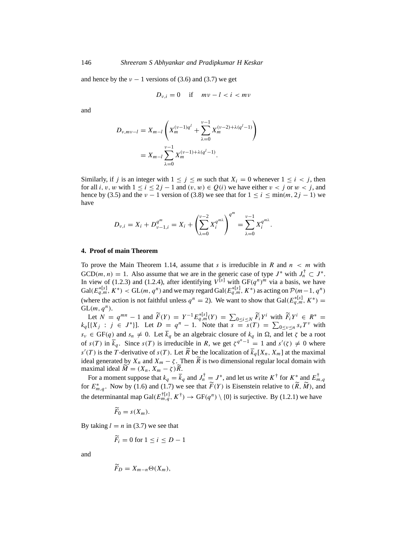and hence by the  $v - 1$  versions of (3.6) and (3.7) we get

$$
D_{\nu,i} = 0 \quad \text{if} \quad m\nu - l < i < m\nu
$$

and

$$
D_{\nu, m\nu-l} = X_{m-l} \left( X_m^{(\nu-1)q^l} + \sum_{\lambda=0}^{\nu-1} X_m^{(\nu-2)+\lambda(q^l-1)} \right)
$$
  
=  $X_{m-l} \sum_{\lambda=0}^{\nu-1} X_m^{(\nu-1)+\lambda(q^l-1)}$ .

Similarly, if j is an integer with  $1 \le j \le m$  such that  $X_i = 0$  whenever  $1 \le i < j$ , then for all i, v, w with  $1 \le i \le 2j - 1$  and  $(v, w) \in Q(i)$  we have either  $v < j$  or  $w < j$ , and hence by (3.5) and the  $\nu - 1$  version of (3.8) we see that for  $1 \le i \le \min(m, 2j - 1)$  we have

$$
D_{\nu,i}=X_i+D_{\nu-1,i}^{q^m}=X_i+\left(\sum_{\lambda=0}^{\nu-2}X_i^{q^{m\lambda}}\right)^{q^m}=\sum_{\lambda=0}^{\nu-1}X_i^{q^{m\lambda}}.
$$

#### **4. Proof of main Theorem**

To prove the Main Theorem 1.14, assume that s is irreducible in R and  $n < m$  with  $GCD(m, n) = 1$ . Also assume that we are in the generic case of type  $J^*$  with  $J_n^{\dagger} \subset J^*$ . In view of (1.2.3) and (1.2.4), after identifying  $V^{[s]}$  with  $GF(q^n)^m$  via a basis, we have  $Gal(E_{q,m}^{*[s]}, K^*)$  <  $GL(m, q^n)$  and we may regard  $Gal(E_{q,m}^{*[s]}, K^*)$  as acting on  $\mathcal{P}(m-1, q^n)$ (where the action is not faithful unless  $q^n = 2$ ). We want to show that  $Gal(E_{q,m}^{*[s]}, K^*) =$  $GL(m, q^n)$ .

Let  $N = q^{mn} - 1$  and  $\widetilde{F}(Y) = Y^{-1} E_{q,m}^{*[s]}(Y) = \sum_{0 \le i \le N} \widetilde{F}_i Y^i$  with  $\widetilde{F}_i Y^i \in R^* =$  $k_q$ [{ $X_j$  :  $j \in J^*$ }]. Let  $D = q^n - 1$ . Note that  $s = s(T) = \sum_{0 \le v \le n} s_v T^v$  with  $s_v \in GF(q)$  and  $s_n \neq 0$ . Let  $\overline{k}_q$  be an algebraic closure of  $k_q$  in  $\Omega$ , and let  $\zeta$  be a root of  $s(T)$  in  $\overline{k}_q$ . Since  $s(T)$  is irreducible in R, we get  $\zeta^{q^n-1} = 1$  and  $s'(\zeta) \neq 0$  where  $s'(T)$  is the T-derivative of  $s(T)$ . Let  $\widetilde{R}$  be the localization of  $\overline{k}_q[X_n, X_m]$  at the maximal ideal generated by  $X_n$  and  $X_m - \zeta$ . Then  $\overline{R}$  is two dimensional regular local domain with maximal ideal  $M = (X_n, X_m - \zeta)R$ .

For a moment suppose that  $k_q = \overline{k}_q$  and  $J_n^{\dagger} = J^*$ , and let us write  $K^{\dagger}$  for  $K^*$  and  $E_{m,q}^{\dagger}$ for  $E_{m,q}^*$ . Now by (1.6) and (1.7) we see that  $\widetilde{F}(Y)$  is Eisenstein relative to  $(\widetilde{R}, \widetilde{M})$ , and the determinantal map  $Gal(E_{m,q}^{\dagger [s]}, K^{\dagger}) \rightarrow GF(q^n) \setminus \{0\}$  is surjective. By (1.2.1) we have

$$
\widetilde{F}_0=s(X_m).
$$

By taking  $l = n$  in (3.7) we see that

$$
\widetilde{F}_i = 0 \text{ for } 1 \le i \le D - 1
$$

and

$$
\tilde{F}_D=X_{m-n}\Theta(X_m),
$$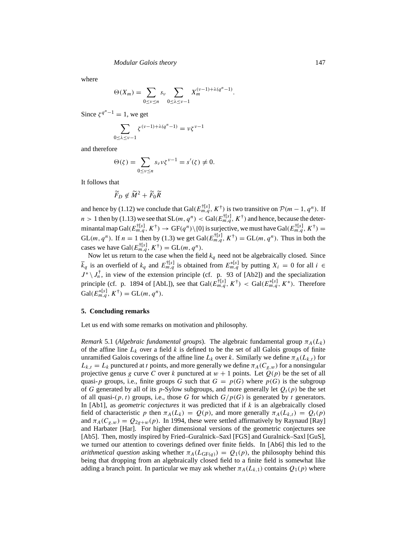where

$$
\Theta(X_m) = \sum_{0 \leq v \leq n} s_v \sum_{0 \leq \lambda \leq v-1} X_m^{(v-1)+\lambda(q^n-1)}.
$$

Since  $\zeta^{q^n-1} = 1$ , we get

$$
\sum_{0 \le \lambda \le \nu - 1} \zeta^{(\nu - 1) + \lambda(q^n - 1)} = \nu \zeta^{\nu - 1}
$$

and therefore

$$
\Theta(\zeta) = \sum_{0 \le \nu \le n} s_{\nu} \nu \zeta^{\nu - 1} = s'(\zeta) \neq 0.
$$

It follows that

$$
\widetilde{F}_D \not\in \widetilde{M}^2 + \widetilde{F}_0 \widetilde{R}
$$

and hence by (1.12) we conclude that Gal( $E_{m,q}^{[s]}$ ,  $K^{\dagger}$ ) is two transitive on  $\mathcal{P}(m-1, q^n)$ . If  $n > 1$  then by (1.13) we see that  $SL(m, q^n) < Gal(E_{m,q}^{\dagger [s]}, K^{\dagger})$  and hence, because the determinantal map  $Gal(E_{m,q}^{\dagger[s]}, K^{\dagger}) \rightarrow \mathrm{GF}(q^n)\setminus\{0\}$  is surjective, we must have  $Gal(E_{m,q}^{\dagger[s]}, K^{\dagger}) =$  $GL(m, q^n)$ . If  $n = 1$  then by (1.3) we get  $Gal(E_{m,q}^{\dagger [s]}, K^{\dagger}) = GL(m, q^n)$ . Thus in both the cases we have  $Gal(E_{m,q}^{\dagger [s]}, K^{\dagger}) = GL(m, q^n)$ .

Now let us return to the case when the field  $k_q$  need not be algebraically closed. Since  $\overline{k}_q$  is an overfield of  $k_q$  and  $E_{m,q}^{[t|s]}$  is obtained from  $E_{m,q}^{*[s]}$  by putting  $X_i = 0$  for all  $i \in$  $J^* \setminus J_n^{\dagger}$ , in view of the extension principle (cf. p. 93 of [Ab2]) and the specialization principle (cf. p. 1894 of [AbL]), see that  $Gal(\overline{E}_{m,q}^{\dagger [s]}, K^{\dagger}) < Gal(\overline{E}_{m,q}^{*[s]}, K^*)$ . Therefore  $Gal(E_{m,q}^{*[s]}, K^{\dagger}) = GL(m, q^n).$ 

### **5. Concluding remarks**

Let us end with some remarks on motivation and philosophy.

*Remark* 5.1 (*Algebraic fundamental groups*). The algebraic fundamental group  $\pi_A(L_k)$ of the affine line  $L_k$  over a field k is defined to be the set of all Galois groups of finite unramified Galois coverings of the affine line  $L_k$  over k. Similarly we define  $\pi_A(L_{k,t})$  for  $L_{k,t} = L_k$  punctured at t points, and more generally we define  $\pi_A(C_{g,w})$  for a nonsingular projective genus g curve C over k punctured at  $w + 1$  points. Let  $O(p)$  be the set of all quasi-p groups, i.e., finite groups G such that  $G = p(G)$  where  $p(G)$  is the subgroup of G generated by all of its p-Sylow subgroups, and more generally let  $Q_t(p)$  be the set of all quasi- $(p, t)$  groups, i.e., those G for which  $G/p(G)$  is generated by t generators. In [Ab1], as *geometric conjectures* it was predicted that if k is an algebraically closed field of characteristic p then  $\pi_A(L_k) = Q(p)$ , and more generally  $\pi_A(L_{k,t}) = Q_t(p)$ and  $\pi_A(C_{g,w}) = Q_{2g+w}(p)$ . In 1994, these were settled affirmatively by Raynaud [Ray] and Harbater [Har]. For higher dimensional versions of the geometric conjectures see [Ab5]. Then, mostly inspired by Fried–Guralnick–Saxl [FGS] and Guralnick–Saxl [GuS], we turned our attention to coverings defined over finite fields. In [Ab6] this led to the *arithmetical question* asking whether  $\pi_A(L_{GF(q)}) = Q_1(p)$ , the philosophy behind this being that dropping from an algebraically closed field to a finite field is somewhat like adding a branch point. In particular we may ask whether  $\pi_A(L_{k,1})$  contains  $Q_1(p)$  where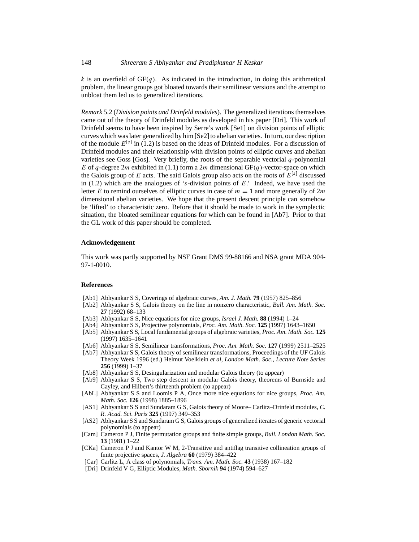k is an overfield of  $GF(q)$ . As indicated in the introduction, in doing this arithmetical problem, the linear groups got bloated towards their semilinear versions and the attempt to unbloat them led us to generalized iterations.

*Remark* 5.2 (*Division points and Drinfeld modules*). The generalized iterations themselves came out of the theory of Drinfeld modules as developed in his paper [Dri]. This work of Drinfeld seems to have been inspired by Serre's work [Se1] on division points of elliptic curves which was later generalized by him [Se2] to abelian varieties. In turn, our description of the module  $E^{[s]}$  in (1.2) is based on the ideas of Drinfeld modules. For a discussion of Drinfeld modules and their relationship with division points of elliptic curves and abelian varieties see Goss [Gos]. Very briefly, the roots of the separable vectorial  $q$ -polynomial E of q-degree 2m exhibited in (1.1) form a 2m dimensional  $GF(q)$ -vector-space on which the Galois group of E acts. The said Galois group also acts on the roots of  $E^{[s]}$  discussed in (1.2) which are the analogues of 's-division points of  $E$ .' Indeed, we have used the letter E to remind ourselves of elliptic curves in case of  $m = 1$  and more generally of  $2m$ dimensional abelian varieties. We hope that the present descent principle can somehow be 'lifted' to characteristic zero. Before that it should be made to work in the symplectic situation, the bloated semilinear equations for which can be found in [Ab7]. Prior to that the GL work of this paper should be completed.

### **Acknowledgement**

This work was partly supported by NSF Grant DMS 99-88166 and NSA grant MDA 904- 97-1-0010.

### **References**

- [Ab1] Abhyankar S S, Coverings of algebraic curves, *Am. J. Math.* **79** (1957) 825–856
- [Ab2] Abhyankar S S, Galois theory on the line in nonzero characteristic, *Bull. Am. Math. Soc.* **27** (1992) 68–133
- [Ab3] Abhyankar S S, Nice equations for nice groups, *Israel J. Math.* **88** (1994) 1–24
- [Ab4] Abhyankar S S, Projective polynomials, *Proc. Am. Math. Soc.* **125** (1997) 1643–1650
- [Ab5] Abhyankar S S, Local fundamental groups of algebraic varieties, *Proc. Am. Math. Soc.* **125** (1997) 1635–1641
- [Ab6] Abhyankar S S, Semilinear transformations, *Proc. Am. Math. Soc.* **127** (1999) 2511–2525
- [Ab7] Abhyankar S S, Galois theory of semilinear transformations, Proceedings of the UF Galois Theory Week 1996 (ed.) Helmut Voelklein *et al, London Math. Soc., Lecture Note Series* **256** (1999) 1–37
- [Ab8] Abhyankar S S, Desingularization and modular Galois theory (to appear)
- [Ab9] Abhyankar S S, Two step descent in modular Galois theory, theorems of Burnside and Cayley, and Hilbert's thirteenth problem (to appear)
- [AbL] Abhyankar S S and Loomis P A, Once more nice equations for nice groups, *Proc. Am. Math. Soc.* **126** (1998) 1885–1896
- [AS1] Abhyankar S S and Sundaram G S, Galois theory of Moore– Carlitz–Drinfeld modules, *C. R. Acad. Sci. Paris* **325** (1997) 349–353
- [AS2] Abhyankar S S and Sundaram G S, Galois groups of generalized iterates of generic vectorial polynomials (to appear)
- [Cam] Cameron P J, Finite permutation groups and finite simple groups, *Bull. London Math. Soc.* **13** (1981) 1–22
- [CKa] Cameron P J and Kantor W M, 2-Transitive and antiflag transitive collineation groups of finite projective spaces, *J. Algebra* **60** (1979) 384–422
- [Car] Carlitz L, A class of polynomials, *Trans. Am. Math. Soc.* **43** (1938) 167–182
- [Dri] Drinfeld V G, Elliptic Modules, *Math. Sbornik* **94** (1974) 594–627